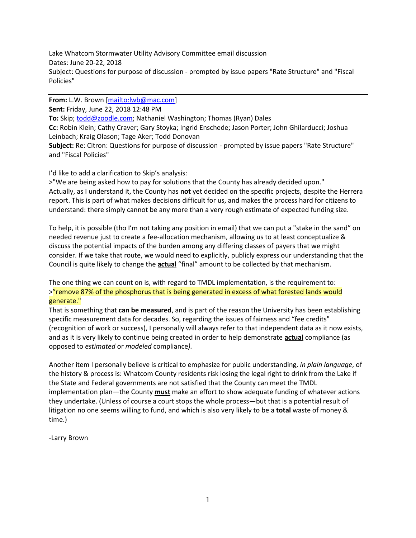Lake Whatcom Stormwater Utility Advisory Committee email discussion Dates: June 20-22, 2018 Subject: Questions for purpose of discussion - prompted by issue papers "Rate Structure" and "Fiscal Policies"

**From:** L.W. Brown [\[mailto:lwb@mac.com\]](mailto:lwb@mac.com) **Sent:** Friday, June 22, 2018 12:48 PM **To:** Skip[; todd@zoodle.com;](mailto:todd@zoodle.com) Nathaniel Washington; Thomas (Ryan) Dales **Cc:** Robin Klein; Cathy Craver; Gary Stoyka; Ingrid Enschede; Jason Porter; John Ghilarducci; Joshua Leinbach; Kraig Olason; Tage Aker; Todd Donovan **Subject:** Re: Citron: Questions for purpose of discussion - prompted by issue papers "Rate Structure" and "Fiscal Policies"

I'd like to add a clarification to Skip's analysis:

>"We are being asked how to pay for solutions that the County has already decided upon." Actually, as I understand it, the County has **not** yet decided on the specific projects, despite the Herrera report. This is part of what makes decisions difficult for us, and makes the process hard for citizens to understand: there simply cannot be any more than a very rough estimate of expected funding size.

To help, it is possible (tho I'm not taking any position in email) that we can put a "stake in the sand" on needed revenue just to create a fee-allocation mechanism, allowing us to at least conceptualize & discuss the potential impacts of the burden among any differing classes of payers that we might consider. If we take that route, we would need to explicitly, publicly express our understanding that the Council is quite likely to change the **actual** "final" amount to be collected by that mechanism.

The one thing we can count on is, with regard to TMDL implementation, is the requirement to: >"remove 87% of the phosphorus that is being generated in excess of what forested lands would generate."

That is something that **can be measured**, and is part of the reason the University has been establishing specific measurement data for decades. So, regarding the issues of fairness and "fee credits" (recognition of work or success), I personally will always refer to that independent data as it now exists, and as it is very likely to continue being created in order to help demonstrate **actual** compliance (as opposed to *estimated* or *modeled* compliance*).*

Another item I personally believe is critical to emphasize for public understanding, *in plain language*, of the history & process is: Whatcom County residents risk losing the legal right to drink from the Lake if the State and Federal governments are not satisfied that the County can meet the TMDL implementation plan—the County **must** make an effort to show adequate funding of whatever actions they undertake. (Unless of course a court stops the whole process—but that is a potential result of litigation no one seems willing to fund, and which is also very likely to be a **total** waste of money & time.)

-Larry Brown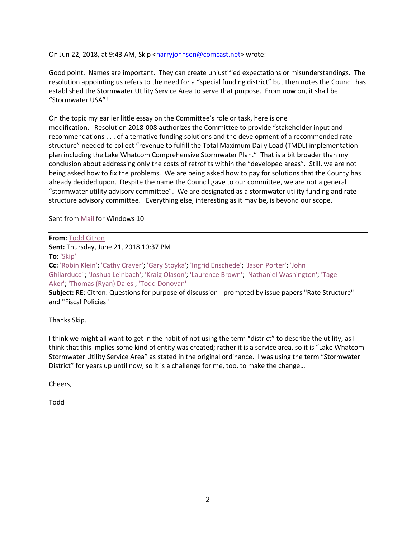On Jun 22, 2018, at 9:43 AM, Skip [<harryjohnsen@comcast.net>](mailto:harryjohnsen@comcast.net) wrote:

Good point. Names are important. They can create unjustified expectations or misunderstandings. The resolution appointing us refers to the need for a "special funding district" but then notes the Council has established the Stormwater Utility Service Area to serve that purpose. From now on, it shall be "Stormwater USA"!

On the topic my earlier little essay on the Committee's role or task, here is one modification. Resolution 2018-008 authorizes the Committee to provide "stakeholder input and recommendations . . . of alternative funding solutions and the development of a recommended rate structure" needed to collect "revenue to fulfill the Total Maximum Daily Load (TMDL) implementation plan including the Lake Whatcom Comprehensive Stormwater Plan." That is a bit broader than my conclusion about addressing only the costs of retrofits within the "developed areas". Still, we are not being asked how to fix the problems. We are being asked how to pay for solutions that the County has already decided upon. Despite the name the Council gave to our committee, we are not a general "stormwater utility advisory committee". We are designated as a stormwater utility funding and rate structure advisory committee. Everything else, interesting as it may be, is beyond our scope.

Sent from [Mail](https://go.microsoft.com/fwlink/?LinkId=550986) for Windows 10

**From:** [Todd Citron](mailto:todd@zoodle.com) **Sent:** Thursday, June 21, 2018 10:37 PM **To:** ['Skip'](mailto:harryjohnsen@comcast.net) **Cc:** ['Robin Klein';](mailto:RKlein@co.whatcom.wa.us) ['Cathy Craver';](mailto:CCraver@co.whatcom.wa.us) ['Gary Stoyka';](mailto:GStoyka@co.whatcom.wa.us) ['Ingrid Enschede';](mailto:IEnsched@co.whatcom.wa.us) ['Jason Porter';](mailto:jporter@cob.org) ['John](mailto:johng@fcsgroup.com)  [Ghilarducci';](mailto:johng@fcsgroup.com) ['Joshua Leinbach';](mailto:JLeinbac@co.whatcom.wa.us) ['Kraig Olason';](mailto:KOlason@co.whatcom.wa.us) ['Laurence Brown';](mailto:BODbrown@SuddenValley.com) ['Nathaniel Washington';](mailto:natwash46@gmail.com) ['Tage](mailto:tagea@fcsgroup.com)  [Aker';](mailto:tagea@fcsgroup.com) ['Thomas \(Ryan\) Dales';](mailto:ryan.dales@wwu.edu) ['Todd Donovan'](mailto:TDonovan@co.whatcom.wa.us)

**Subject:** RE: Citron: Questions for purpose of discussion - prompted by issue papers "Rate Structure" and "Fiscal Policies"

Thanks Skip.

I think we might all want to get in the habit of not using the term "district" to describe the utility, as I think that this implies some kind of entity was created; rather it is a service area, so it is "Lake Whatcom Stormwater Utility Service Area" as stated in the original ordinance. I was using the term "Stormwater District" for years up until now, so it is a challenge for me, too, to make the change…

Cheers,

Todd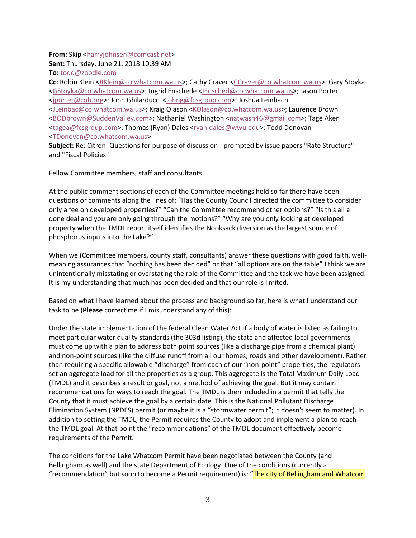#### **From:** Skip [<harryjohnsen@comcast.net>](mailto:harryjohnsen@comcast.net)

**Sent:** Thursday, June 21, 2018 10:39 AM

**To:** [todd@zoodle.com](mailto:todd@zoodle.com)

**Cc:** Robin Klein [<RKlein@co.whatcom.wa.us>](mailto:RKlein@co.whatcom.wa.us); Cathy Craver [<CCraver@co.whatcom.wa.us>](mailto:CCraver@co.whatcom.wa.us); Gary Stoyka [<GStoyka@co.whatcom.wa.us>](mailto:GStoyka@co.whatcom.wa.us); Ingrid Enschede [<IEnsched@co.whatcom.wa.us>](mailto:IEnsched@co.whatcom.wa.us); Jason Porter [<jporter@cob.org>](mailto:jporter@cob.org); John Ghilarducci [<johng@fcsgroup.com>](mailto:johng@fcsgroup.com); Joshua Leinbach [<JLeinbac@co.whatcom.wa.us>](mailto:JLeinbac@co.whatcom.wa.us); Kraig Olason [<KOlason@co.whatcom.wa.us>](mailto:KOlason@co.whatcom.wa.us); Laurence Brown [<BODbrown@SuddenValley.com>](mailto:BODbrown@SuddenValley.com); Nathaniel Washington [<natwash46@gmail.com>](mailto:natwash46@gmail.com); Tage Aker [<tagea@fcsgroup.com>](mailto:tagea@fcsgroup.com); Thomas (Ryan) Dales [<ryan.dales@wwu.edu>](mailto:ryan.dales@wwu.edu); Todd Donovan [<TDonovan@co.whatcom.wa.us>](mailto:TDonovan@co.whatcom.wa.us)

**Subject:** Re: Citron: Questions for purpose of discussion - prompted by issue papers "Rate Structure" and "Fiscal Policies"

Fellow Committee members, staff and consultants:

At the public comment sections of each of the Committee meetings held so far there have been questions or comments along the lines of: "Has the County Council directed the committee to consider only a fee on developed properties?" "Can the Committee recommend other options?" "Is this all a done deal and you are only going through the motions?" "Why are you only looking at developed property when the TMDL report itself identifies the Nooksack diversion as the largest source of phosphorus inputs into the Lake?"

When we (Committee members, county staff, consultants) answer these questions with good faith, wellmeaning assurances that "nothing has been decided" or that "all options are on the table" I think we are unintentionally misstating or overstating the role of the Committee and the task we have been assigned. It is my understanding that much has been decided and that our role is limited.

Based on what I have learned about the process and background so far, here is what I understand our task to be (**Please** correct me if I misunderstand any of this):

Under the state implementation of the federal Clean Water Act if a body of water is listed as failing to meet particular water quality standards (the 303d listing), the state and affected local governments must come up with a plan to address both point sources (like a discharge pipe from a chemical plant) and non-point sources (like the diffuse runoff from all our homes, roads and other development). Rather than requiring a specific allowable "discharge" from each of our "non-point" properties, the regulators set an aggregate load for all the properties as a group. This aggregate is the Total Maximum Daily Load (TMDL) and it describes a result or goal, not a method of achieving the goal. But it may contain recommendations for ways to reach the goal. The TMDL is then included in a permit that tells the County that it must achieve the goal by a certain date. This is the National Pollutant Discharge Elimination System (NPDES) permit (or maybe it is a "stormwater permit"; it doesn't seem to matter). In addition to setting the TMDL, the Permit requires the County to adopt and implement a plan to reach the TMDL goal. At that point the "recommendations" of the TMDL document effectively become requirements of the Permit.

The conditions for the Lake Whatcom Permit have been negotiated between the County (and Bellingham as well) and the state Department of Ecology. One of the conditions (currently a "recommendation" but soon to become a Permit requirement) is: "The city of Bellingham and Whatcom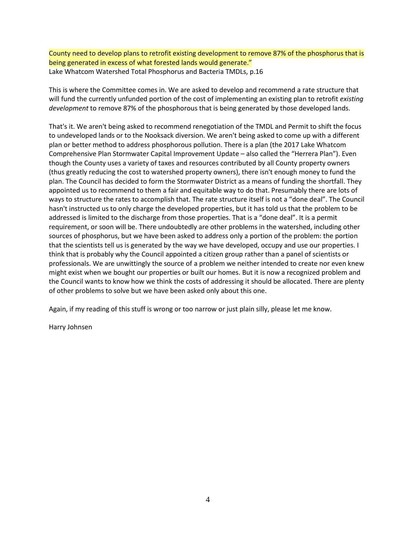County need to develop plans to retrofit existing development to remove 87% of the phosphorus that is being generated in excess of what forested lands would generate." Lake Whatcom Watershed Total Phosphorus and Bacteria TMDLs, p.16

This is where the Committee comes in. We are asked to develop and recommend a rate structure that will fund the currently unfunded portion of the cost of implementing an existing plan to retrofit *existing development* to remove 87% of the phosphorous that is being generated by those developed lands.

That's it. We aren't being asked to recommend renegotiation of the TMDL and Permit to shift the focus to undeveloped lands or to the Nooksack diversion. We aren't being asked to come up with a different plan or better method to address phosphorous pollution. There is a plan (the 2017 Lake Whatcom Comprehensive Plan Stormwater Capital Improvement Update – also called the "Herrera Plan"). Even though the County uses a variety of taxes and resources contributed by all County property owners (thus greatly reducing the cost to watershed property owners), there isn't enough money to fund the plan. The Council has decided to form the Stormwater District as a means of funding the shortfall. They appointed us to recommend to them a fair and equitable way to do that. Presumably there are lots of ways to structure the rates to accomplish that. The rate structure itself is not a "done deal". The Council hasn't instructed us to only charge the developed properties, but it has told us that the problem to be addressed is limited to the discharge from those properties. That is a "done deal". It is a permit requirement, or soon will be. There undoubtedly are other problems in the watershed, including other sources of phosphorus, but we have been asked to address only a portion of the problem: the portion that the scientists tell us is generated by the way we have developed, occupy and use our properties. I think that is probably why the Council appointed a citizen group rather than a panel of scientists or professionals. We are unwittingly the source of a problem we neither intended to create nor even knew might exist when we bought our properties or built our homes. But it is now a recognized problem and the Council wants to know how we think the costs of addressing it should be allocated. There are plenty of other problems to solve but we have been asked only about this one.

Again, if my reading of this stuff is wrong or too narrow or just plain silly, please let me know.

Harry Johnsen